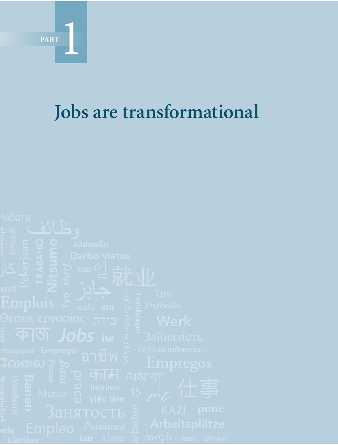

# **Jobs are transformational**

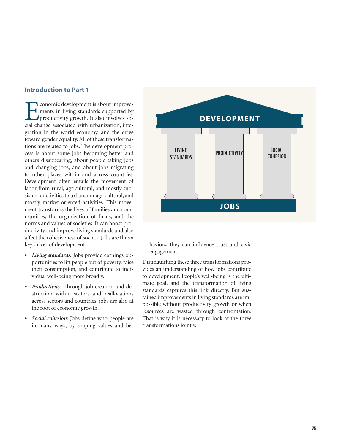#### **Introduction to Part 1**

**Exercise 15 conomic development is about improve-**<br> **Exercise 2** ments in living standards supported by<br>
productivity growth. It also involves so-<br>
cial change associated with urbanization, intements in living standards supported by productivity growth. It also involves social change associated with urbanization, integration in the world economy, and the drive toward gender equality. All of these transformations are related to jobs. The development process is about some jobs becoming better and others disappearing, about people taking jobs and changing jobs, and about jobs migrating to other places within and across countries. Development often entails the movement of labor from rural, agricultural, and mostly subsistence activities to urban, nonagricultural, and mostly market-oriented activities. This movement transforms the lives of families and communities, the organization of firms, and the norms and values of societies. It can boost productivity and improve living standards and also affect the cohesiveness of society. Jobs are thus a key driver of development.

- *Living standards:* Jobs provide earnings opportunities to lift people out of poverty, raise their consumption, and contribute to individual well-being more broadly.
- *Productivity:* Through job creation and destruction within sectors and reallocations across sectors and countries, jobs are also at the root of economic growth.
- *Social cohesion:* Jobs define who people are in many ways; by shaping values and be-



haviors, they can influence trust and civic engagement.

Distinguishing these three transformations provides an understanding of how jobs contribute to development. People's well-being is the ultimate goal, and the transformation of living standards captures this link directly. But sustained improvements in living standards are impossible without productivity growth or when resources are wasted through confrontation. That is why it is necessary to look at the three transformations jointly.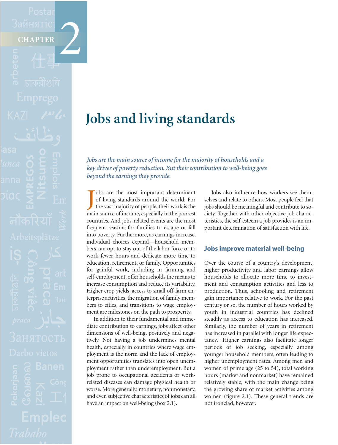## **Jobs and living standards**

*Jobs are the main source of income for the majority of households and a key driver of poverty reduction. But their contribution to well-being goes beyond the earnings they provide.*

J obs are the most important determinant of living standards around the world. For the vast majority of people, their work is the main source of income, especially in the poorest countries. And jobs-related events are the most frequent reasons for families to escape or fall into poverty. Furthermore, as earnings increase, individual choices expand—household members can opt to stay out of the labor force or to work fewer hours and dedicate more time to education, retirement, or family. Opportunities for gainful work, including in farming and self-employment, offer households the means to increase consumption and reduce its variability. Higher crop yields, access to small off-farm enterprise activities, the migration of family members to cities, and transitions to wage employment are milestones on the path to prosperity.

In addition to their fundamental and immediate contribution to earnings, jobs affect other dimensions of well-being, positively and negatively. Not having a job undermines mental health, especially in countries where wage employment is the norm and the lack of employment opportunities translates into open unemployment rather than underemployment. But a job prone to occupational accidents or workrelated diseases can damage physical health or worse. More generally, monetary, nonmonetary, and even subjective characteristics of jobs can all have an impact on well-being (box 2.1).

Jobs also influence how workers see themselves and relate to others. Most people feel that jobs should be meaningful and contribute to society. Together with other objective job characteristics, the self-esteem a job provides is an important determination of satisfaction with life.

#### **Jobs improve material well-being**

Over the course of a country's development, higher productivity and labor earnings allow households to allocate more time to investment and consumption activities and less to production. Thus, schooling and retirement gain importance relative to work. For the past century or so, the number of hours worked by youth in industrial countries has declined steadily as access to education has increased. Similarly, the number of years in retirement has increased in parallel with longer life expectancy.1 Higher earnings also facilitate longer periods of job seeking, especially among younger household members, often leading to higher unemployment rates. Among men and women of prime age (25 to 54), total working hours (market and nonmarket) have remained relatively stable, with the main change being the growing share of market activities among women (figure 2.1). These general trends are not ironclad, however.

**CHAPTER**<br>
<del>CHAPTER</del><br>
<del>1 E</del>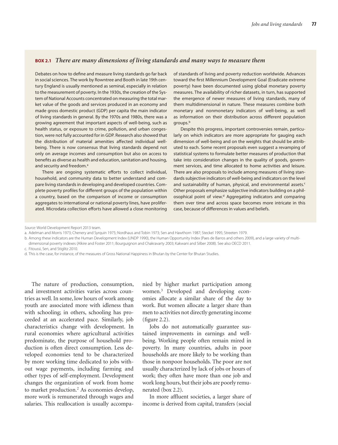#### **BOX 2.1** *There are many dimensions of living standards and many ways to measure them*

Debates on how to define and measure living standards go far back in social sciences. The work by Rowntree and Booth in late 19th century England is usually mentioned as seminal, especially in relation to the measurement of poverty. In the 1930s, the creation of the System of National Accounts concentrated on measuring the total market value of the goods and services produced in an economy and made gross domestic product (GDP) per capita the main indicator of living standards in general. By the 1970s and 1980s, there was a growing agreement that important aspects of well-being, such as health status, or exposure to crime, pollution, and urban congestion, were not fully accounted for in GDP. Research also showed that the distribution of material amenities affected individual wellbeing. There is now consensus that living standards depend not only on average incomes and consumption but also on access to benefits as diverse as health and education, sanitation and housing, and security and freedom.<sup>a</sup>

There are ongoing systematic efforts to collect individual, household, and community data to better understand and compare living standards in developing and developed countries. Complete poverty profiles for different groups of the population within a country, based on the comparison of income or consumption aggregates to international or national poverty lines, have proliferated. Microdata collection efforts have allowed a close monitoring

of standards of living and poverty reduction worldwide. Advances toward the first Millennium Development Goal (Eradicate extreme poverty) have been documented using global monetary poverty measures. The availability of richer datasets, in turn, has supported the emergence of newer measures of living standards, many of them multidimensional in nature. These measures combine both monetary and nonmonetary indicators of well-being, as well as information on their distribution across different population groups.b

Despite this progress, important controversies remain, particularly on which indicators are more appropriate for gauging each dimension of well-being and on the weights that should be attributed to each. Some recent proposals even suggest a revamping of statistical systems to formulate better measures of production that take into consideration changes in the quality of goods, government services, and time allocated to home activities and leisure. There are also proposals to include among measures of living standards subjective indicators of well-being and indicators on the level and sustainability of human, physical, and environmental assets.<sup>c</sup> Other proposals emphasize subjective indicators building on a philosophical point of view.<sup>d</sup> Aggregating indicators and comparing them over time and across space becomes more intricate in this case, because of differences in values and beliefs.

*Source:* World Development Report 2013 team.

- b. Among these indicators are the Human Development Index (UNDP 1990), the Human Opportunity Index (Paes de Barros and others 2009), and a large variety of multidimensional poverty indexes (Alkire and Foster 2011; Bourguignon and Chakravarty 2003; Kakwani and Silber 2008). See also OECD 2011.
- c. Fitoussi, Sen, and Stiglitz 2010.

d. This is the case, for instance, of the measures of Gross National Happiness in Bhutan by the Center for Bhutan Studies.

The nature of production, consumption, and investment activities varies across countries as well. In some, low hours of work among youth are associated more with idleness than with schooling; in others, schooling has proceeded at an accelerated pace. Similarly, job characteristics change with development. In rural economies where agricultural activities predominate, the purpose of household production is often direct consumption. Less developed economies tend to be characterized by more working time dedicated to jobs without wage payments, including farming and other types of self-employment. Development changes the organization of work from home to market production.<sup>2</sup> As economies develop, more work is remunerated through wages and salaries. This reallocation is usually accompanied by higher market participation among women.3 Developed and developing economies allocate a similar share of the day to work. But women allocate a larger share than men to activities not directly generating income (figure 2.2).

Jobs do not automatically guarantee sustained improvements in earnings and wellbeing. Working people often remain mired in poverty. In many countries, adults in poor households are more likely to be working than those in nonpoor households. The poor are not usually characterized by lack of jobs or hours of work; they often have more than one job and work long hours, but their jobs are poorly remunerated (box 2.2).

In more affluent societies, a larger share of income is derived from capital, transfers (social

a. Adelman and Morris 1973; Chenery and Syrquin 1975; Nordhaus and Tobin 1973; Sen and Hawthorn 1987; Steckel 1995; Streeten 1979.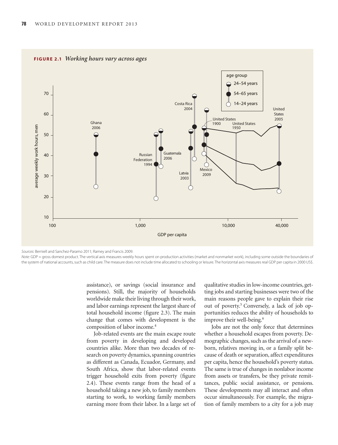

*Sources:* Berniell and Sanchez-Paramo 2011; Ramey and Francis 2009.

*Note:* GDP = gross domest product. The vertical axis measures weekly hours spent on production activities (market and nonmarket work), including some outside the boundaries of the system of national accounts, such as child care. The measure does not include time allocated to schooling or leisure. The horizontal axis measures real GDP per capita in 2000 US\$.

> assistance), or savings (social insurance and pensions). Still, the majority of households worldwide make their living through their work, and labor earnings represent the largest share of total household income (figure 2.3). The main change that comes with development is the composition of labor income.4

> Job-related events are the main escape route from poverty in developing and developed countries alike. More than two decades of research on poverty dynamics, spanning countries as different as Canada, Ecuador, Germany, and South Africa, show that labor-related events trigger household exits from poverty (figure 2.4). These events range from the head of a household taking a new job, to family members starting to work, to working family members earning more from their labor. In a large set of

qualitative studies in low-income countries, getting jobs and starting businesses were two of the main reasons people gave to explain their rise out of poverty.<sup>5</sup> Conversely, a lack of job opportunities reduces the ability of households to improve their well-being.<sup>6</sup>

Jobs are not the only force that determines whether a household escapes from poverty. Demographic changes, such as the arrival of a newborn, relatives moving in, or a family split because of death or separation, affect expenditures per capita, hence the household's poverty status. The same is true of changes in nonlabor income from assets or transfers, be they private remittances, public social assistance, or pensions. These developments may all interact and often occur simultaneously. For example, the migration of family members to a city for a job may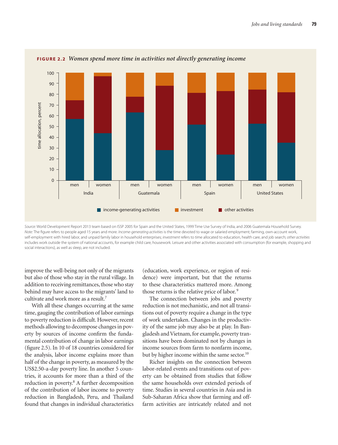

**FIGURE 2.2** *Women spend more time in activities not directly generating income*

*Source:* World Development Report 2013 team based on ISSP 2005 for Spain and the United States, 1999 Time Use Survey of India, and 2006 Guatemala Household Survey. *Note:* The figure refers to people aged 15 years and more. *Income-generating activities* is the time devoted to wage or salaried employment; farming, own-account work, self-employment with hired labor, and unpaid family labor in household enterprises; *investment* refers to time allocated to education, health care, and job search; *other activities* includes work outside the system of national accounts, for example child care, housework. Leisure and other activities associated with consumption (for example, shopping and social interactions), as well as sleep, are not included.

improve the well-being not only of the migrants but also of those who stay in the rural village. In addition to receiving remittances, those who stay behind may have access to the migrants' land to cultivate and work more as a result.7

With all these changes occurring at the same time, gauging the contribution of labor earnings to poverty reduction is difficult. However, recent methods allowing to decompose changes in poverty by sources of income confirm the fundamental contribution of change in labor earnings (figure 2.5). In 10 of 18 countries considered for the analysis, labor income explains more than half of the change in poverty, as measured by the US\$2.50-a-day poverty line. In another 5 countries, it accounts for more than a third of the reduction in poverty.8 A further decomposition of the contribution of labor income to poverty reduction in Bangladesh, Peru, and Thailand found that changes in individual characteristics (education, work experience, or region of residence) were important, but that the returns to these characteristics mattered more. Among those returns is the relative price of labor. 9

The connection between jobs and poverty reduction is not mechanistic, and not all transitions out of poverty require a change in the type of work undertaken. Changes in the productivity of the same job may also be at play. In Bangladesh and Vietnam, for example, poverty transitions have been dominated not by changes in income sources from farm to nonfarm income, but by higher income within the same sector.<sup>10</sup>

Richer insights on the connection between labor-related events and transitions out of poverty can be obtained from studies that follow the same households over extended periods of time. Studies in several countries in Asia and in Sub-Saharan Africa show that farming and offfarm activities are intricately related and not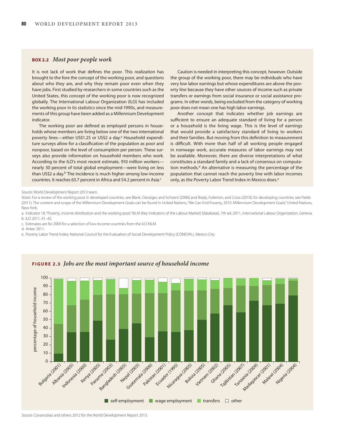#### **BOX 2.2** *Most poor people work*

It is not lack of work that defines the poor. This realization has brought to the fore the concept of the working poor, and questions about who they are, and why they remain poor even when they have jobs. First studied by researchers in some countries such as the United States, this concept of the working poor is now recognized globally. The International Labour Organization (ILO) has included the working poor in its statistics since the mid-1990s, and measurements of this group have been added as a Millennium Development indicator.

The working poor are defined as employed persons in households whose members are living below one of the two international poverty lines—either US\$1.25 or US\$2 a day.<sup>a</sup> Household expenditure surveys allow for a classification of the population as poor and nonpoor, based on the level of consumption per person. These surveys also provide information on household members who work. According to the ILO's most recent estimate, 910 million workers nearly 30 percent of total global employment—were living on less than US\$2 a day.<sup>b</sup> The incidence is much higher among low-income countries. It reaches 63.7 percent in Africa and 54.2 percent in Asia.<sup>c</sup>

Caution is needed in interpreting this concept, however. Outside the group of the working poor, there may be individuals who have very low labor earnings but whose expenditures are above the poverty line because they have other sources of income such as private transfers or earnings from social insurance or social assistance programs. In other words, being excluded from the category of working poor does not mean one has high labor earnings.

Another concept that indicates whether job earnings are sufficient to ensure an adequate standard of living for a person or a household is the living wage. This is the level of earnings that would provide a satisfactory standard of living to workers and their families. But moving from this definition to measurement is difficult. With more than half of all working people engaged in nonwage work, accurate measures of labor earnings may not be available. Moreover, there are diverse interpretations of what constitutes a standard family and a lack of consensus on computation methods.<sup>d</sup> An alternative is measuring the percentage of the population that cannot reach the poverty line with labor incomes only, as the Poverty Labor Trend Index in Mexico does.<sup>e</sup>

*Source:* World Development Report 2013 team.

*Notes:* For a review of the working poor in developed countries, see Blank, Danziger, and Schoeni (2006) and Brady, Fullerton, and Cross (2010); for developing countries, see Fields (2011). The content and scope of the Millennium Development Goals can be found in United Nations, "We Can End Poverty, 2015: Millennium Development Goals," United Nations, New York.

a. Indicator 18, "Poverty, income distribution and the working poor," KILM (Key Indicators of the Labour Market) (database), 7th ed. 2011, International Labour Organization, Geneva. b. ILO 2011, 41–42.

c. Estimates are for 2009 for a selection of low-income countries from the ILO KILM.

d. Anker 2011.

e. Poverty Labor Trend Index, National Council for the Evaluation of Social Development Policy (CONEVAL), Mexico City.



**FIGURE 2.3** *Jobs are the most important source of household income*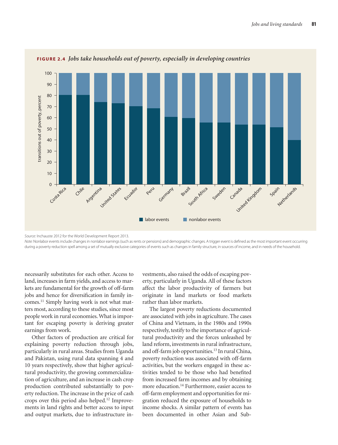

**FIGURE 2.4** *Jobs take households out of poverty, especially in developing countries*

*Source:* Inchauste 2012 for the World Development Report 2013.

*Note:* Nonlabor events include changes in nonlabor earnings (such as rents or pensions) and demographic changes. A trigger event is defined as the most important event occurring

necessarily substitutes for each other. Access to land, increases in farm yields, and access to markets are fundamental for the growth of off-farm jobs and hence for diversification in family incomes.11 Simply having work is not what matters most, according to these studies, since most people work in rural economies. What is important for escaping poverty is deriving greater earnings from work.

Other factors of production are critical for explaining poverty reduction through jobs, particularly in rural areas. Studies from Uganda and Pakistan, using rural data spanning 4 and 10 years respectively, show that higher agricultural productivity, the growing commercialization of agriculture, and an increase in cash crop production contributed substantially to poverty reduction. The increase in the price of cash crops over this period also helped.12 Improvements in land rights and better access to input and output markets, due to infrastructure investments, also raised the odds of escaping poverty, particularly in Uganda. All of these factors affect the labor productivity of farmers but originate in land markets or food markets rather than labor markets.

The largest poverty reductions documented are associated with jobs in agriculture. The cases of China and Vietnam, in the 1980s and 1990s respectively, testify to the importance of agricultural productivity and the forces unleashed by land reform, investments in rural infrastructure, and off-farm job opportunities.<sup>13</sup> In rural China, poverty reduction was associated with off-farm activities, but the workers engaged in these activities tended to be those who had benefited from increased farm incomes and by obtaining more education.<sup>14</sup> Furthermore, easier access to off-farm employment and opportunities for migration reduced the exposure of households to income shocks. A similar pattern of events has been documented in other Asian and Sub-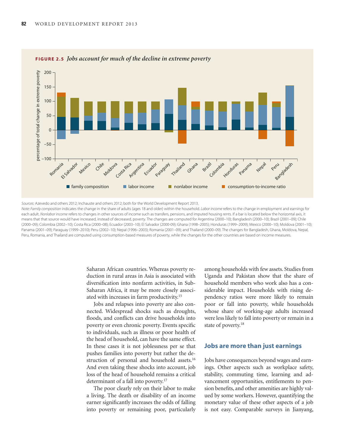

**FIGURE 2.5** *Jobs account for much of the decline in extreme poverty*

*Sources:* Azevedo and others 2012; Inchauste and others 2012; both for the World Development Report 2013.

*Note: Family composition* indicates the change in the share of adults (ages 18 and older) within the household. *Labor income* refers to the change in employment and earnings for each adult. *Nonlabor income refers to changes in other sources of income such as transfers, pensions, and imputed housing rents. If a bar is located below the horizontal axis, it* means that that source would have increased, instead of decreased, poverty. The changes are computed for Argentina (2000–10); Bangladesh (2000–10); Brazil (2001–09); Chile (2000–09); Colombia (2002–10); Costa Rica (2000–08); Ecuador (2003–10); El Salvador (2000-09); Ghana (1998–2005); Honduras (1999–2009); Mexico (2000–10); Moldova (2001–10); Panama (2001–09); Paraguay (1999–2010); Peru (2002–10); Nepal (1996–2003); Romania (2001–09); and Thailand (2000–09). The changes for Bangladesh, Ghana, Moldova, Nepal,

> Saharan African countries. Whereas poverty reduction in rural areas in Asia is associated with diversification into nonfarm activities, in Sub-Saharan Africa, it may be more closely associated with increases in farm productivity.15

> Jobs and relapses into poverty are also connected. Widespread shocks such as droughts, floods, and conflicts can drive households into poverty or even chronic poverty. Events specific to individuals, such as illness or poor health of the head of household, can have the same effect. In these cases it is not joblessness per se that pushes families into poverty but rather the destruction of personal and household assets.16 And even taking these shocks into account, job loss of the head of household remains a critical determinant of a fall into poverty.<sup>17</sup>

> The poor clearly rely on their labor to make a living. The death or disability of an income earner significantly increases the odds of falling into poverty or remaining poor, particularly

among households with few assets. Studies from Uganda and Pakistan show that the share of household members who work also has a considerable impact. Households with rising dependency ratios were more likely to remain poor or fall into poverty, while households whose share of working-age adults increased were less likely to fall into poverty or remain in a state of poverty.18

#### **Jobs are more than just earnings**

Jobs have consequences beyond wages and earnings. Other aspects such as workplace safety, stability, commuting time, learning and advancement opportunities, entitlements to pension benefits, and other amenities are highly valued by some workers. However, quantifying the monetary value of these other aspects of a job is not easy. Comparable surveys in Jianyang,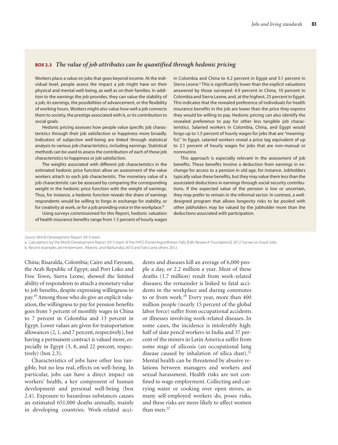#### **BOX 2.3** *The value of job attributes can be quantified through hedonic pricing*

Workers place a value on jobs that goes beyond income. At the individual level, people assess the impact a job might have on their physical and mental well-being, as well as on their families. In addition to the earnings the job provides, they can value the stability of a job, its earnings, the possibilities of advancement, or the flexibility of working hours. Workers might also value how well a job connects them to society, the prestige associated with it, or its contribution to social goals.

Hedonic pricing assesses how people value specific job characteristics through their job satisfaction or happiness more broadly. Indicators of subjective well-being are linked through statistical analysis to various job characteristics, including earnings. Statistical methods can be used to assess the contribution of each of these job characteristics to happiness or job satisfaction.

The weights associated with different job characteristics in the estimated hedonic price function allow an assessment of the value workers attach to each job characteristic. The monetary value of a job characteristic can be assessed by comparing the corresponding weight in the hedonic price function with the weight of earnings. Thus, for instance, a hedonic function reveals the share of earnings respondents would be willing to forgo in exchange for stability, or for creativity at work, or for a job providing voice in the workplace.<sup>b</sup>

Using surveys commissioned for this Report, hedonic valuation of health insurance benefits range from 1.5 percent of hourly wages in Colombia and China to 4.2 percent in Egypt and 5.1 percent in Sierra Leone.<sup>a</sup> This is significantly lower than the explicit valuations answered by those surveyed: 4.9 percent in China, 10 percent in Colombia and Sierra Leone, and, at the highest, 25 percent in Egypt. This indicates that the revealed preference of individuals for health insurance benefits in the job are lower than the price they express they would be willing to pay. Hedonic pricing can also identify the revealed preference to pay for other less tangible job characteristics. Salaried workers in Colombia, China, and Egypt would forgo up to 1.5 percent of hourly wages for jobs that are "meaningful." In Egypt, salaried workers reveal a price tag equivalent of up to 2.1 percent of hourly wages for jobs that are non-manual or nonroutine.

This approach is especially relevant in the assessment of job benefits. These benefits involve a deduction from earnings in exchange for access to a pension in old age, for instance. Jobholders typically value these benefits, but they may value them less than the associated deductions in earnings through social security contributions. If the expected value of the pension is low or uncertain, they may prefer to remain in the informal sector. In contrast, a welldesigned program that allows longevity risks to be pooled with other jobholders may be valued by the jobholder more than the deductions associated with participation.

*Source:* World Development Report 2013 team.

a. Calculations by the World Development Report 2013 team of the FAFO (Forskningsstiftelsen Fafo [Fafo Research Foundation]) 2012 Survey on Good Jobs.

b. Recent examples are Hintermann, Alberini, and Markandya 2010 and Falco and others 2012.

China; Risaralda, Colombia; Cairo and Fayoum, the Arab Republic of Egypt; and Port Loko and Free Town, Sierra Leone, showed the limited ability of respondents to attach a monetary value to job benefits, despite expressing willingness to pay.19 Among those who do give an explicit valuation, the willingness to pay for pension benefits goes from 5 percent of monthly wages in China to 7 percent in Colombia and 13 percent in Egypt. Lower values are given for transportation allowances (2, 1, and 7 percent, respectively), but having a permanent contract is valued more, especially in Egypt (3, 8, and 22 percent, respectively) (box 2.3).

Characteristics of jobs have other less tangible, but no less real, effects on well-being. In particular, jobs can have a direct impact on workers' health, a key component of human development and personal well-being (box 2.4). Exposure to hazardous substances causes an estimated 651,000 deaths annually, mainly in developing countries. Work-related accidents and diseases kill an average of 6,000 people a day, or 2.2 million a year. Most of these deaths (1.7 million) result from work-related diseases; the remainder is linked to fatal accidents in the workplace and during commutes to or from work.20 Every year, more than 400 million people (nearly 15 percent of the global labor force) suffer from occupational accidents or illnesses involving work-related diseases. In some cases, the incidence is intolerably high: half of slate pencil workers in India and 37 percent of the miners in Latin America suffer from some stage of silicosis (an occupational lung disease caused by inhalation of silica dust).<sup>21</sup> Mental health can be threatened by abusive relations between managers and workers and sexual harassment. Health risks are not confined to wage employment. Collecting and carrying water or cooking over open stoves, as many self-employed workers do, poses risks, and these risks are more likely to affect women than men.22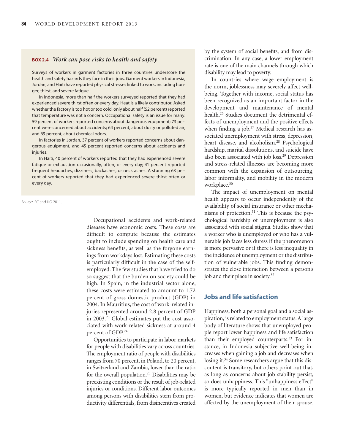#### **BOX 2.4** *Work can pose risks to health and safety*

Surveys of workers in garment factories in three countries underscore the health and safety hazards they face in their jobs. Garment workers in Indonesia, Jordan, and Haiti have reported physical stresses linked to work, including hunger, thirst, and severe fatigue.

In Indonesia, more than half the workers surveyed reported that they had experienced severe thirst often or every day. Heat is a likely contributor. Asked whether the factory is too hot or too cold, only about half (52 percent) reported that temperature was not a concern. Occupational safety is an issue for many: 59 percent of workers reported concerns about dangerous equipment; 73 percent were concerned about accidents; 64 percent, about dusty or polluted air; and 69 percent, about chemical odors.

In factories in Jordan, 37 percent of workers reported concerns about dangerous equipment, and 45 percent reported concerns about accidents and injuries.

In Haiti, 40 percent of workers reported that they had experienced severe fatigue or exhaustion occasionally, often, or every day; 41 percent reported frequent headaches, dizziness, backaches, or neck aches. A stunning 63 percent of workers reported that they had experienced severe thirst often or every day.

*Source:* IFC and ILO 2011.

Occupational accidents and work-related diseases have economic costs. These costs are difficult to compute because the estimates ought to include spending on health care and sickness benefits, as well as the forgone earnings from workdays lost. Estimating these costs is particularly difficult in the case of the selfemployed. The few studies that have tried to do so suggest that the burden on society could be high. In Spain, in the industrial sector alone, these costs were estimated to amount to 1.72 percent of gross domestic product (GDP) in 2004. In Mauritius, the cost of work-related injuries represented around 2.8 percent of GDP in 2003.23 Global estimates put the cost associated with work-related sickness at around 4 percent of GDP.24

Opportunities to participate in labor markets for people with disabilities vary across countries. The employment ratio of people with disabilities ranges from 70 percent, in Poland, to 20 percent, in Switzerland and Zambia, lower than the ratio for the overall population.25 Disabilities may be preexisting conditions or the result of job-related injuries or conditions. Different labor outcomes among persons with disabilities stem from productivity differentials, from disincentives created

by the system of social benefits, and from discrimination. In any case, a lower employment rate is one of the main channels through which disability may lead to poverty.

In countries where wage employment is the norm, joblessness may severely affect wellbeing. Together with income, social status has been recognized as an important factor in the development and maintenance of mental health.26 Studies document the detrimental effects of unemployment and the positive effects when finding a job.<sup>27</sup> Medical research has associated unemployment with stress, depression, heart disease, and alcoholism.28 Psychological hardship, marital dissolutions, and suicide have also been associated with job loss.29 Depression and stress-related illnesses are becoming more common with the expansion of outsourcing, labor informality, and mobility in the modern workplace.30

The impact of unemployment on mental health appears to occur independently of the availability of social insurance or other mechanisms of protection.31 This is because the psychological hardship of unemployment is also associated with social stigma. Studies show that a worker who is unemployed or who has a vulnerable job faces less duress if the phenomenon is more pervasive or if there is less inequality in the incidence of unemployment or the distribution of vulnerable jobs. This finding demonstrates the close interaction between a person's job and their place in society.32

#### **Jobs and life satisfaction**

Happiness, both a personal goal and a social aspiration, is related to employment status. A large body of literature shows that unemployed people report lower happiness and life satisfaction than their employed counterparts.<sup>33</sup> For instance, in Indonesia subjective well-being increases when gaining a job and decreases when losing it.34 Some researchers argue that this discontent is transitory, but others point out that, as long as concerns about job stability persist, so does unhappiness. This "unhappiness effect" is more typically reported in men than in women, but evidence indicates that women are affected by the unemployment of their spouse.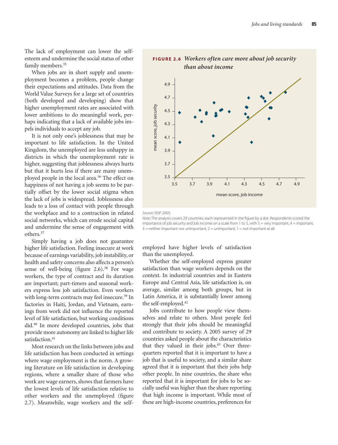The lack of employment can lower the selfesteem and undermine the social status of other family members.<sup>35</sup>

When jobs are in short supply and unemployment becomes a problem, people change their expectations and attitudes. Data from the World Value Surveys for a large set of countries (both developed and developing) show that higher unemployment rates are associated with lower ambitions to do meaningful work, perhaps indicating that a lack of available jobs impels individuals to accept any job.

It is not only one's joblessness that may be important to life satisfaction. In the United Kingdom, the unemployed are less unhappy in districts in which the unemployment rate is higher, suggesting that joblessness always hurts but that it hurts less if there are many unemployed people in the local area.36 The effect on happiness of not having a job seems to be partially offset by the lower social stigma when the lack of jobs is widespread. Joblessness also leads to a loss of contact with people through the workplace and to a contraction in related social networks, which can erode social capital and undermine the sense of engagement with others.37

Simply having a job does not guarantee higher life satisfaction. Feeling insecure at work because of earnings variability, job instability, or health and safety concerns also affects a person's sense of well-being (figure 2.6).<sup>38</sup> For wage workers, the type of contract and its duration are important; part-timers and seasonal workers express less job satisfaction. Even workers with long-term contracts may feel insecure.<sup>39</sup> In factories in Haiti, Jordan, and Vietnam, earnings from work did not influence the reported level of life satisfaction, but working conditions did.40 In more developed countries, jobs that provide more autonomy are linked to higher life satisfaction.<sup>41</sup>

Most research on the links between jobs and life satisfaction has been conducted in settings where wage employment is the norm. A growing literature on life satisfaction in developing regions, where a smaller share of those who work are wage earners, shows that farmers have the lowest levels of life satisfaction relative to other workers and the unemployed (figure 2.7). Meanwhile, wage workers and the self-





*Note:* The analysis covers 29 countries, each represented in the figure by a dot. Respondents scored the importance of job security and job income on a scale from 1 to 5, with  $5 =$  very important,  $4 =$  important,  $3$  = neither important nor unimportant,  $2$  = unimportant,  $1$  = not important at all.

employed have higher levels of satisfaction than the unemployed.

Whether the self-employed express greater satisfaction than wage workers depends on the context. In industrial countries and in Eastern Europe and Central Asia, life satisfaction is, on average, similar among both groups, but in Latin America, it is substantially lower among the self-employed.<sup>42</sup>

Jobs contribute to how people view themselves and relate to others. Most people feel strongly that their jobs should be meaningful and contribute to society. A 2005 survey of 29 countries asked people about the characteristics that they valued in their jobs.<sup>43</sup> Over threequarters reported that it is important to have a job that is useful to society, and a similar share agreed that it is important that their jobs help other people. In nine countries, the share who reported that it is important for jobs to be socially useful was higher than the share reporting that high income is important. While most of these are high-income countries, preferences for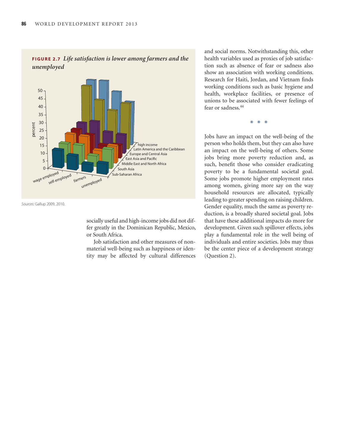

*Sources:* Gallup 2009, 2010.

socially useful and high-income jobs did not differ greatly in the Dominican Republic, Mexico, or South Africa.

Job satisfaction and other measures of nonmaterial well-being such as happiness or identity may be affected by cultural differences and social norms. Notwithstanding this, other health variables used as proxies of job satisfaction such as absence of fear or sadness also show an association with working conditions. Research for Haiti, Jordan, and Vietnam finds working conditions such as basic hygiene and health, workplace facilities, or presence of unions to be associated with fewer feelings of fear or sadness.<sup>44</sup>

**\* \* \***

Jobs have an impact on the well-being of the person who holds them, but they can also have an impact on the well-being of others. Some jobs bring more poverty reduction and, as such, benefit those who consider eradicating poverty to be a fundamental societal goal. Some jobs promote higher employment rates among women, giving more say on the way household resources are allocated, typically leading to greater spending on raising children. Gender equality, much the same as poverty reduction, is a broadly shared societal goal. Jobs that have these additional impacts do more for development. Given such spillover effects, jobs play a fundamental role in the well being of individuals and entire societies. Jobs may thus be the center piece of a development strategy (Question 2).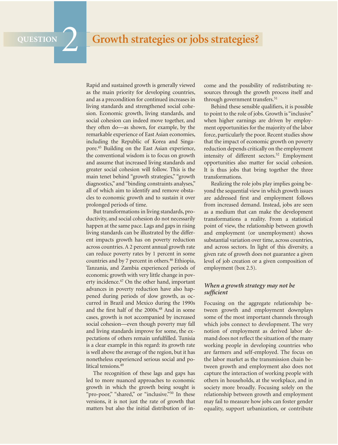### **Growth strategies or jobs strategies?**

Rapid and sustained growth is generally viewed as the main priority for developing countries, and as a precondition for continued increases in living standards and strengthened social cohesion. Economic growth, living standards, and social cohesion can indeed move together, and they often do—as shown, for example, by the remarkable experience of East Asian economies, including the Republic of Korea and Singapore.45 Building on the East Asian experience, the conventional wisdom is to focus on growth and assume that increased living standards and greater social cohesion will follow. This is the main tenet behind "growth strategies," "growth diagnostics," and "binding constraints analyses," all of which aim to identify and remove obstacles to economic growth and to sustain it over prolonged periods of time.

**QUESTION** 

But transformations in living standards, productivity, and social cohesion do not necessarily happen at the same pace. Lags and gaps in rising living standards can be illustrated by the different impacts growth has on poverty reduction across countries. A 2 percent annual growth rate can reduce poverty rates by 1 percent in some countries and by 7 percent in others.<sup>46</sup> Ethiopia, Tanzania, and Zambia experienced periods of economic growth with very little change in poverty incidence.<sup>47</sup> On the other hand, important advances in poverty reduction have also happened during periods of slow growth, as occurred in Brazil and Mexico during the 1990s and the first half of the 2000s.<sup>48</sup> And in some cases, growth is not accompanied by increased social cohesion—even though poverty may fall and living standards improve for some, the expectations of others remain unfulfilled. Tunisia is a clear example in this regard: its growth rate is well above the average of the region, but it has nonetheless experienced serious social and political tensions.<sup>49</sup>

The recognition of these lags and gaps has led to more nuanced approaches to economic growth in which the growth being sought is "pro-poor," "shared," or "inclusive."<sup>50</sup> In these versions, it is not just the rate of growth that matters but also the initial distribution of income and the possibility of redistributing resources through the growth process itself and through government transfers.<sup>51</sup>

Behind these sensible qualifiers, it is possible to point to the role of jobs. Growth is "inclusive" when higher earnings are driven by employment opportunities for the majority of the labor force, particularly the poor. Recent studies show that the impact of economic growth on poverty reduction depends critically on the employment intensity of different sectors.<sup>52</sup> Employment opportunities also matter for social cohesion. It is thus jobs that bring together the three transformations.

Realizing the role jobs play implies going beyond the sequential view in which growth issues are addressed first and employment follows from increased demand. Instead, jobs are seen as a medium that can make the development transformations a reality. From a statistical point of view, the relationship between growth and employment (or unemployment) shows substantial variation over time, across countries, and across sectors. In light of this diversity, a given rate of growth does not guarantee a given level of job creation or a given composition of employment (box 2.5).

#### *When a growth strategy may not be sufficient*

Focusing on the aggregate relationship between growth and employment downplays some of the most important channels through which jobs connect to development. The very notion of employment as derived labor demand does not reflect the situation of the many working people in developing countries who are farmers and self-employed. The focus on the labor market as the transmission chain between growth and employment also does not capture the interaction of working people with others in households, at the workplace, and in society more broadly. Focusing solely on the relationship between growth and employment may fail to measure how jobs can foster gender equality, support urbanization, or contribute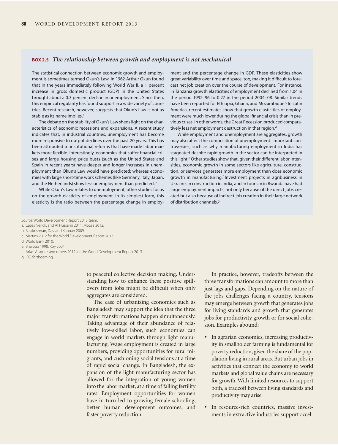#### **BOX 2.5** *The relationship between growth and employment is not mechanical*

The statistical connection between economic growth and employment is sometimes termed Okun's Law. In 1962 Arthur Okun found that in the years immediately following World War II, a 1 percent increase in gross domestic product (GDP) in the United States brought about a 0.3 percent decline in unemployment. Since then, this empirical regularity has found support in a wide variety of countries. Recent research, however, suggests that Okun's Law is not as stable as its name implies.<sup>a</sup>

The debate on the stability of Okun's Law sheds light on the characteristics of economic recessions and expansions. A recent study indicates that, in industrial countries, unemployment has become more responsive to output declines over the past 20 years. This has been attributed to institutional reforms that have made labor markets more flexible. Interestingly, economies that suffer financial crises and large housing price busts (such as the United States and Spain in recent years) have deeper and longer increases in unemployment than Okun's Law would have predicted; whereas economies with large short-time work schemes (like Germany, Italy, Japan, and the Netherlands) show less unemployment than predicted.<sup>b</sup>

While Okun's Law relates to unemployment, other studies focus on the growth elasticity of employment. In its simplest form, this elasticity is the ratio between the percentage change in employment and the percentage change in GDP. These elasticities show great variability over time and space, too, making it difficult to forecast net job creation over the course of development. For instance, in Tanzania growth elasticities of employment declined from 1.04 in the period 1992–96 to 0.27 in the period 2004–08. Similar trends have been reported for Ethiopia, Ghana, and Mozambique.<sup>c</sup> In Latin America, recent estimates show that growth elasticities of employment were much lower during the global financial crisis than in previous crises. In other words, the Great Recession produced comparatively less net employment destruction in that region.<sup>d</sup>

While employment and unemployment are aggregates, growth may also affect the composition of unemployment. Important controversies, such as why manufacturing employment in India has stagnated despite rapid growth in the sector can be interpreted in this light.<sup>e</sup> Other studies show that, given their different labor intensities, economic growth in some sectors like agriculture, construction, or services generates more employment than does economic growth in manufacturing.<sup>f</sup> Investment projects in agribusiness in Ukraine, in construction in India, and in tourism in Rwanda have had large employment impacts, not only because of the direct jobs created but also because of indirect job creation in their large network of distribution channels.<sup>9</sup>

- a. Cazes, Verick, and Al Hussami 2011; Moosa 2012.
- b. Balakrishnan, Das, and Kannan 2009.
- c. Martins 2012 for the World Development Report 2013.
- d. World Bank 2010.
- e. Bhalotra 1998; Roy 2004.
- f. Arias-Vasquez and others 2012 for the World Development Report 2013.
- g. IFC, forthcoming.

to peaceful collective decision making. Understanding how to enhance these positive spillovers from jobs might be difficult when only aggregates are considered.

The case of urbanizing economies such as Bangladesh may support the idea that the three major transformations happen simultaneously. Taking advantage of their abundance of relatively low-skilled labor, such economies can engage in world markets through light manufacturing. Wage employment is created in large numbers, providing opportunities for rural migrants, and cushioning social tensions at a time of rapid social change. In Bangladesh, the expansion of the light manufacturing sector has allowed for the integration of young women into the labor market, at a time of falling fertility rates. Employment opportunities for women have in turn led to growing female schooling, better human development outcomes, and faster poverty reduction.

In practice, however, tradeoffs between the three transformations can amount to more than just lags and gaps. Depending on the nature of the jobs challenges facing a country, tensions may emerge between growth that generates jobs for living standards and growth that generates jobs for productivity growth or for social cohesion. Examples abound:

- In agrarian economies, increasing productivity in smallholder farming is fundamental for poverty reduction, given the share of the population living in rural areas. But urban jobs in activities that connect the economy to world markets and global value chains are necessary for growth. With limited resources to support both, a tradeoff between living standards and productivity may arise.
- In resource-rich countries, massive investments in extractive industries support accel-

*Source:* World Development Report 2013 team.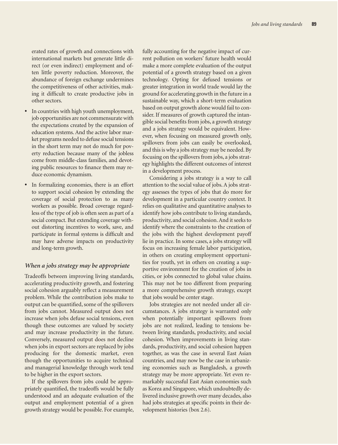erated rates of growth and connections with international markets but generate little direct (or even indirect) employment and often little poverty reduction. Moreover, the abundance of foreign exchange undermines the competitiveness of other activities, making it difficult to create productive jobs in other sectors.

- In countries with high youth unemployment, job opportunities are not commensurate with the expectations created by the expansion of education systems. And the active labor market programs needed to defuse social tensions in the short term may not do much for poverty reduction because many of the jobless come from middle-class families, and devoting public resources to finance them may reduce economic dynamism.
- In formalizing economies, there is an effort to support social cohesion by extending the coverage of social protection to as many workers as possible. Broad coverage regardless of the type of job is often seen as part of a social compact. But extending coverage without distorting incentives to work, save, and participate in formal systems is difficult and may have adverse impacts on productivity and long-term growth.

#### *When a jobs strategy may be appropriate*

Tradeoffs between improving living standards, accelerating productivity growth, and fostering social cohesion arguably reflect a measurement problem. While the contribution jobs make to output can be quantified, some of the spillovers from jobs cannot. Measured output does not increase when jobs defuse social tensions, even though these outcomes are valued by society and may increase productivity in the future. Conversely, measured output does not decline when jobs in export sectors are replaced by jobs producing for the domestic market, even though the opportunities to acquire technical and managerial knowledge through work tend to be higher in the export sectors.

If the spillovers from jobs could be appropriately quantified, the tradeoffs would be fully understood and an adequate evaluation of the output and employment potential of a given growth strategy would be possible. For example, fully accounting for the negative impact of current pollution on workers' future health would make a more complete evaluation of the output potential of a growth strategy based on a given technology. Opting for defused tensions or greater integration in world trade would lay the ground for accelerating growth in the future in a sustainable way, which a short-term evaluation based on output growth alone would fail to consider. If measures of growth captured the intangible social benefits from jobs, a growth strategy and a jobs strategy would be equivalent. However, when focusing on measured growth only, spillovers from jobs can easily be overlooked, and this is why a jobs strategy may be needed. By focusing on the spillovers from jobs, a jobs strategy highlights the different outcomes of interest in a development process.

Considering a jobs strategy is a way to call attention to the social value of jobs. A jobs strategy assesses the types of jobs that do more for development in a particular country context. It relies on qualitative and quantitative analyses to identify how jobs contribute to living standards, productivity, and social cohesion. And it seeks to identify where the constraints to the creation of the jobs with the highest development payoff lie in practice. In some cases, a jobs strategy will focus on increasing female labor participation, in others on creating employment opportunities for youth, yet in others on creating a supportive environment for the creation of jobs in cities, or jobs connected to global value chains. This may not be too different from preparing a more comprehensive growth strategy, except that jobs would be center stage.

Jobs strategies are not needed under all circumstances. A jobs strategy is warranted only when potentially important spillovers from jobs are not realized, leading to tensions between living standards, productivity, and social cohesion. When improvements in living standards, productivity, and social cohesion happen together, as was the case in several East Asian countries, and may now be the case in urbanizing economies such as Bangladesh, a growth strategy may be more appropriate. Yet even remarkably successful East Asian economies such as Korea and Singapore, which undoubtedly delivered inclusive growth over many decades, also had jobs strategies at specific points in their development histories (box 2.6).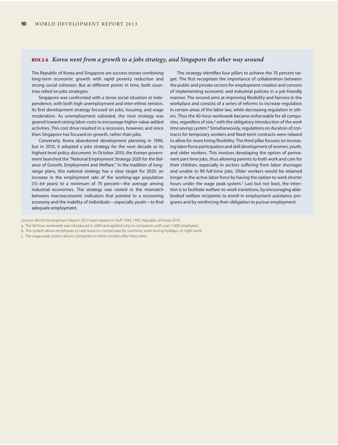#### **BOX 2.6** *Korea went from a growth to a jobs strategy, and Singapore the other way around*

The Republic of Korea and Singapore are success stories combining long-term economic growth with rapid poverty reduction and strong social cohesion. But at different points in time, both countries relied on jobs strategies.

Singapore was confronted with a tense social situation at independence, with both high unemployment and inter-ethnic tension. Its first development strategy focused on jobs, housing, and wage moderation. As unemployment subsided, the next strategy was geared toward raising labor costs to encourage higher-value-added activities. This cost drive resulted in a recession, however, and since then Singapore has focused on growth, rather than jobs.

Conversely, Korea abandoned development planning in 1996, but in 2010, it adopted a jobs strategy for the next decade as its highest-level policy document. In October 2010, the Korean government launched the "National Employment Strategy 2020 for the Balance of Growth, Employment and Welfare." In the tradition of longrange plans, this national strategy has a clear target for 2020: an increase in the employment rate of the working-age population (15–64 years) to a minimum of 70 percent—the average among industrial economies. The strategy was rooted in the mismatch between macroeconomic indicators that pointed to a recovering economy and the inability of individuals—especially youth—to find adequate employment.

The strategy identifies four pillars to achieve the 70 percent target. The first recognizes the importance of collaboration between the public and private sectors for employment creation and consists of implementing economic and industrial policies in a job-friendly manner. The second aims at improving flexibility and fairness in the workplace and consists of a series of reforms to increase regulation in certain areas of the labor law, while decreasing regulation in others. Thus the 40-hour workweek became enforceable for all companies, regardless of size,<sup>a</sup> with the obligatory introduction of the *work time savings system*. b Simultaneously, regulations on duration of contracts for temporary workers and fixed-term contracts were relaxed to allow for more hiring flexibility. The third pillar focuses on increasing labor force participation and skill development of women, youth, and older workers. This involves developing the option of permanent part-time jobs, thus allowing parents to both work and care for their children, especially in sectors suffering from labor shortages and unable to fill full-time jobs. Older workers would be retained longer in the active labor force by having the option to work shorter hours under the wage peak system.<sup>c</sup> Last but not least, the intention is to facilitate welfare-to-work transitions, by encouraging ablebodied welfare recipients to enroll in employment assistance programs and by reinforcing their obligation to pursue employment.

- a. The 40-hour workweek was introduced in 2004 and applied only to companies with over 1,000 employees.
- b. This system allows employees to take leave to compensate for overtime, work during holidays, or night work.
- c. The wage peak system allows companies to rehire workers after they retire.

*Sources:* World Development Report 2013 team based on Huff 1994, 1995; Republic of Korea 2010.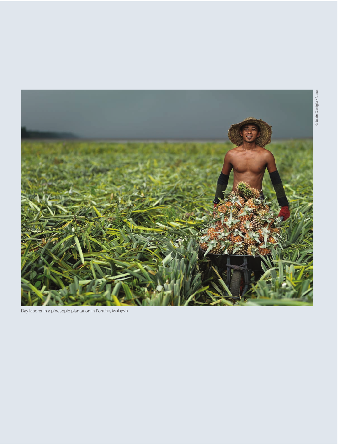

Day laborer in a pineapple plantation in Pontian, Malaysia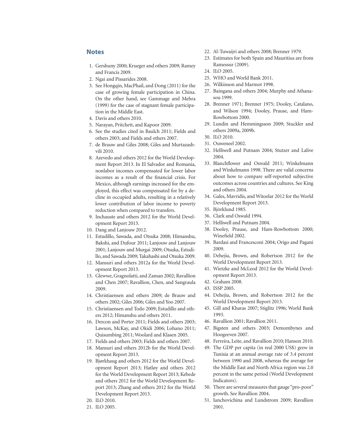#### **Notes**

- 1. Gershuny 2000; Krueger and others 2009; Ramey and Francis 2009.
- 2. Ngai and Pissarides 2008.
- 3. See Hongqin, MacPhail, and Dong (2011) for the case of growing female participation in China. On the other hand, see Gammage and Mehra (1999) for the case of stagnant female participation in the Middle East.
- 4. Davis and others 2010.
- 5. Narayan, Pritchett, and Kapoor 2009.
- 6. See the studies cited in Baulch 2011; Fields and others 2003; and Fields and others 2007.
- 7. de Brauw and Giles 2008; Giles and Murtazashvili 2010.
- 8. Azevedo and others 2012 for the World Development Report 2013. In El Salvador and Romania, nonlabor incomes compensated for lower labor incomes as a result of the financial crisis. For Mexico, although earnings increased for the employed, this effect was compensated for by a decline in occupied adults, resulting in a relatively lower contribution of labor income to poverty reduction when compared to transfers.
- 9. Inchauste and others 2012 for the World Development Report 2013.
- 10. Dang and Lanjouw 2012.
- 11. Estudillo, Sawada, and Otsuka 2008; Himanshu, Bakshi, and Dufour 2011; Lanjouw and Lanjouw 2001; Lanjouw and Murgai 2009; Otsuka, Estudillo, and Sawada 2009; Takahashi and Otsuka 2009.
- 12. Mansuri and others 2012a for the World Development Report 2013.
- 13. Glewwe, Gragnolatti, and Zaman 2002; Ravallion and Chen 2007; Ravallion, Chen, and Sangraula 2009.
- 14. Christiaensen and others 2009; de Brauw and others 2002; Giles 2006; Giles and Yoo 2007.
- 15. Christiaensen and Todo 2009; Estudillo and others 2012; Himanshu and others 2011.
- 16. Dercon and Porter 2011; Fields and others 2003; Lawson, McKay, and Okidi 2006; Lohano 2011; Quisumbing 2011; Woolard and Klasen 2005.
- 17. Fields and others 2003; Fields and others 2007.
- 18. Mansuri and others 2012b for the World Development Report 2013.
- 19. Bjørkhaug and others 2012 for the World Development Report 2013; Hatløy and others 2012 for the World Development Report 2013; Kebede and others 2012 for the World Development Report 2013; Zhang and others 2012 for the World Development Report 2013.
- 20. ILO 2010.
- 21. ILO 2005.
- 22. Al-Tuwaijri and others 2008; Brenner 1979.
- 23. Estimates for both Spain and Mauritius are from Ramessur (2009).
- 24. ILO 2005.
- 25. WHO and World Bank 2011.
- 26. Wilkinson and Marmot 1998.
- 27. Baingana and others 2004; Murphy and Athanasou 1999.
- 28. Brenner 1971; Brenner 1975; Dooley, Catalano, and Wilson 1994; Dooley, Prause, and Ham-Rowbottom 2000.
- 29. Lundin and Hemmingsson 2009; Stuckler and others 2009a, 2009b.
- 30. ILO 2010.
- 31. Ouweneel 2002.
- 32. Helliwell and Putnam 2004; Stutzer and Lalive 2004.
- 33. Blanchflower and Oswald 2011; Winkelmann and Winkelmann 1998. There are valid concerns about how to compare self-reported subjective outcomes across countries and cultures. See King and others 2004.
- 34. Gales, Mavridis, and Witoelar 2012 for the World Development Report 2013.
- 35. Björklund 1985.
- 36. Clark and Oswald 1994.
- 37. Helliwell and Putnam 2004.
- 38. Dooley, Prause, and Ham-Rowbottom 2000; Winefield 2002.
- 39. Bardasi and Francesconi 2004; Origo and Pagani 2009.
- 40. Dehejia, Brown, and Robertson 2012 for the World Development Report 2013.
- 41. Wietzke and McLeod 2012 for the World Development Report 2013.
- 42. Graham 2008.
- 43. ISSP 2005.
- 44. Dehejia, Brown, and Robertson 2012 for the World Development Report 2013.
- 45. Gill and Kharas 2007; Stiglitz 1996; World Bank 1993.
- 46. Ravallion 2001; Ravallion 2011.
- 47. Bigsten and others 2003; Demombynes and Hoogeeven 2007.
- 48. Ferreira, Leite, and Ravallion 2010; Hanson 2010.
- 49. The GDP per capita (in real 2000 US\$) grew in Tunisia at an annual average rate of 3.4 percent between 1990 and 2008, whereas the average for the Middle East and North Africa region was 2.0 percent in the same period (World Development Indicators).
- 50. There are several measures that gauge "pro-poor" growth. See Ravallion 2004.
- 51. Ianchovichina and Lundstrom 2009; Ravallion 2001.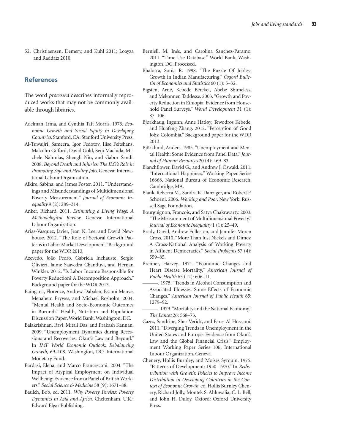52. Christiaensen, Demery, and Kuhl 2011; Loayza and Raddatz 2010.

#### **References**

The word *processed* describes informally reproduced works that may not be commonly available through libraries.

- Adelman, Irma, and Cynthia Taft Morris. 1973. *Economic Growth and Social Equity in Developing Countries*. Stanford, CA: Stanford University Press.
- Al-Tuwaijri, Sameera, Igor Fedotov, Ilise Feitshans, Malcolm Gifford, David Gold, Seiji Machida, Michele Nahmias, Shengli Niu, and Gabor Sandi. 2008. *Beyond Death and Injuries: The ILO's Role in Promoting Safe and Healthy Jobs*. Geneva: International Labour Organization.
- Alkire, Sabina, and James Foster. 2011. "Understandings and Misunderstandings of Multidimensional Poverty Measurement." *Journal of Economic Inequality* 9 (2): 289–314.
- Anker, Richard. 2011. *Estimating a Living Wage: A Methodological Review*. Geneva: International Labour Organization.
- Arias-Vasquez, Javier, Jean N. Lee, and David Newhouse. 2012. "The Role of Sectoral Growth Patterns in Labor Market Development." Background paper for the WDR 2013.
- Azevedo, João Pedro, Gabriela Inchauste, Sergio Olivieri, Jaime Saavedra Chanduvi, and Hernan Winkler. 2012. "Is Labor Income Responsible for Poverty Reduction? A Decomposition Approach." Background paper for the WDR 2013.
- Baingana, Florence, Andrew Dabalen, Essimi Menye, Menahem Prywes, and Michael Rosholm. 2004. "Mental Health and Socio-Economic Outcomes in Burundi." Health, Nutrition and Population Discussion Paper, World Bank, Washington, DC.
- Balakrishnan, Ravi, Mitali Das, and Prakash Kannan. 2009. "Unemployment Dynamics during Recessions and Recoveries: Okun's Law and Beyond." In *IMF World Economic Outlook: Rebalancing Growth,* 69–108. Washington, DC: International Monetary Fund.
- Bardasi, Elena, and Marco Francesconi. 2004. "The Impact of Atypical Employment on Individual Wellbeing: Evidence from a Panel of British Workers." *Social Science & Medicine* 58 (9): 1671–88.
- Baulch, Bob, ed. 2011. *Why Poverty Persists: Poverty Dynamics in Asia and Africa.* Cheltenham, U.K.: Edward Elgar Publishing.
- Berniell, M. Inés, and Carolina Sanchez-Paramo. 2011. "Time Use Database." World Bank, Washington, DC. Processed.
- Bhalotra, Sonia R. 1998. "The Puzzle Of Jobless Growth in Indian Manufacturing." *Oxford Bulletin of Economics and Statistics* 60 (1): 5–32.
- Bigsten, Arne, Kebede Bereket, Abebe Shimeless, and Mekonnen Taddesse. 2003. "Growth and Poverty Reduction in Ethiopia: Evidence from Household Panel Surveys." *World Development* 31 (1): 87–106.
- Bjørkhaug, Ingunn, Anne Hatløy, Tewodros Kebede, and Huafeng Zhang. 2012. "Perception of Good Jobs: Colombia." Background paper for the WDR 2013.
- Björklund, Anders. 1985. "Unemployment and Mental Health: Some Evidence from Panel Data." *Journal of Human Resources* 20 (4): 469–83.
- Blanchflower, David G., and Andrew J. Oswald. 2011. "International Happiness." Working Paper Series 16668, National Bureau of Economic Research, Cambridge, MA.
- Blank, Rebecca M., Sandra K. Danziger, and Robert F. Schoeni. 2006. *Working and Poor*. New York: Russell Sage Foundation.
- Bourguignon, François, and Satya Chakravarty. 2003. "The Measurement of Multidimensional Poverty." *Journal of Economic Inequality* 1 (1): 25–49.
- Brady, David, Andrew Fullerton, and Jennifer Moren Cross. 2010. "More Than Just Nickels and Dimes: A Cross-National Analysis of Working Poverty in Affluent Democracies." *Social Problems* 57 (4): 559–85.
- Brenner, Harvey. 1971. "Economic Changes and Heart Disease Mortality." *American Journal of Public Health* 65 (12): 606–11.
	- ———. 1975. "Trends in Alcohol Consumption and Associated Illnesses: Some Effects of Economic Changes." *American Journal of Public Health* 65: 1279–92.
	- -. 1979. "Mortality and the National Economy." *The Lancet* 26: 568–73.
- Cazes, Sandrine, Sher Verick, and Fares Al Hussami. 2011. "Diverging Trends in Unemployment in the United States and Europe: Evidence from Okun's Law and the Global Financial Crisis." Employment Working Paper Series 106, International Labour Organization, Geneva.
- Chenery, Hollis Burnley, and Moises Syrquin. 1975. "Patterns of Development: 1950–1970." In *Redistribution with Growth: Policies to Improve Income Distribution in Developing Countries in the Context of Economic Growth*, ed. Hollis Burnley Chenery, Richard Jolly, Montek S. Ahluwalia, C. L. Bell, and John H. Duloy. Oxford: Oxford University Press.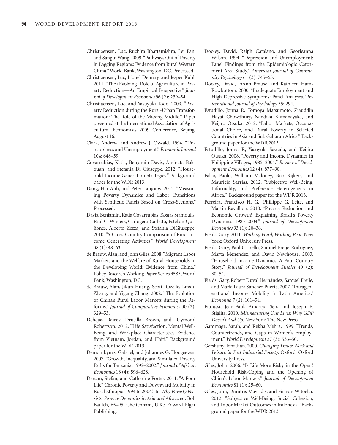- Christiaensen, Luc, Ruchira Bhattamishra, Lei Pan, and Sangui Wang. 2009. "Pathways Out of Poverty in Lagging Regions: Evidence from Rural Western China." World Bank, Washington, DC. Processed.
- Christiaensen, Luc, Lionel Demery, and Jesper Kuhl. 2011. "The (Evolving) Role of Agriculture in Poverty Reduction—An Empirical Perspective." *Journal of Development Economics* 96 (2): 239–54.
- Christiaensen, Luc, and Yasuyuki Todo. 2009. "Poverty Reduction during the Rural-Urban Transformation: The Role of the Missing Middle." Paper presented at the International Association of Agricultural Economists 2009 Conference, Beijing, August 16.
- Clark, Andrew, and Andrew J. Oswald. 1994. "Unhappiness and Unemployment." *Economic Journal* 104: 648–59.
- Covarrubias, Katia, Benjamin Davis, Aminata Bakouan, and Stefania Di Giuseppe. 2012. "Household Income Generation Strategies." Background paper for the WDR 2013.
- Dang, Hai-Anh, and Peter Lanjouw. 2012. "Measuring Poverty Dynamics and Labor Transitions with Synthetic Panels Based on Cross-Sections." Processed.
- Davis, Benjamin, Katia Covarrubias, Kostas Stamoulis, Paul C. Winters, Carlogero Carletto, Esteban Quiñones, Alberto Zezza, and Stefania DiGiuseppe. 2010. "A Cross-Country Comparison of Rural Income Generating Activities." *World Development* 38 (1): 48–63.
- de Brauw, Alan, and John Giles. 2008. "Migrant Labor Markets and the Welfare of Rural Households in the Developing World: Evidence from China." Policy Research Working Paper Series 4585, World Bank, Washington, DC.
- de Brauw, Alan, Jikun Huang, Scott Rozelle, Linxiu Zhang, and Yigang Zhang. 2002. "The Evolution of China's Rural Labor Markets during the Reforms." *Journal of Comparative Economics* 30 (2): 329–53.
- Dehejia, Rajeev, Drusilla Brown, and Raymond Robertson. 2012. "Life Satisfaction, Mental Well-Being, and Workplace Characteristics Evidence from Vietnam, Jordan, and Haiti." Background paper for the WDR 2013.
- Demombynes, Gabriel, and Johannes G. Hoogeeven. 2007. "Growth, Inequality, and Simulated Poverty Paths for Tanzania, 1992–2002." *Journal of African Economies* 16 (4): 596–628.
- Dercon, Stefan, and Catherine Porter. 2011. "A Poor Life? Chronic Poverty and Downward Mobility in Rural Ethiopia, 1994 to 2004." In *Why Poverty Persists: Poverty Dynamics in Asia and Africa*, ed. Bob Baulch, 65–95. Cheltenham, U.K.: Edward Elgar Publishing.
- Dooley, David, Ralph Catalano, and Georjeanna Wilson. 1994. "Depression and Unemployment: Panel Findings from the Epidemiologic Catchment Area Study." *American Journal of Community Psychology* 61 (3): 745–65.
- Dooley, David, JoAnn Prause, and Kathleen Ham-Rowbottom. 2000. "Inadequate Employment and High Depressive Symptoms: Panel Analyses." *International Journal of Psychology* 35: 294.
- Estudillo, Jonna P., Tomoya Matsumoto, Ziauddin Hayat Chowdhury, Nandika Kumanayake, and Keijiro Otsuka. 2012. "Labor Markets, Occupational Choice, and Rural Poverty in Selected Countries in Asia and Sub-Saharan Africa." Background paper for the WDR 2013.
- Estudillo, Jonna P., Yasuyuki Sawada, and Keijiro Otsuka. 2008. "Poverty and Income Dynamics in Philippine Villages, 1985–2004." *Review of Development Economics* 12 (4): 877–90.
- Falco, Paolo, William Maloney, Bob Rijkers, and Mauricio Sarrias. 2012. "Subjective Well-Being, Informality, and Preference Heterogeneity in Africa." Background paper for the WDR 2013.
- Ferreira, Francisco H. G., Phillippe G. Leite, and Martin Ravallion. 2010. "Poverty Reduction and Economic Growth? Explaining Brazil's Poverty Dynamics 1985–2004." *Journal of Development Economics* 93 (1): 20–36.
- Fields, Gary. 2011. *Working Hard, Working Poor*. New York: Oxford University Press.
- Fields, Gary, Paul Cichello, Samuel Freije-Rodriguez, Marta Menendez, and David Newhouse. 2003. "Household Income Dynamics: A Four-Country Story." *Journal of Development Studies* 40 (2): 30–54.
- Fields, Gary, Robert Duval Hernández, Samuel Freije, and María Laura Sánchez Puerta. 2007. "Intragenerational Income Mobility in Latin America." *Economía* 7 (2): 101–54.
- Fitoussi, Jean-Paul, Amartya Sen, and Joseph E. Stiglitz. 2010. *Mismeasuring Our Lives: Why GDP Doesn't Add Up*. New York: The New Press.
- Gammage, Sarah, and Rekha Mehra. 1999. "Trends, Countertrends, and Gaps in Women's Employment." *World Development* 27 (3): 533–50.
- Gershuny, Jonathan. 2000. *Changing Times: Work and Leisure in Post Industrial Society*. Oxford: Oxford University Press.
- Giles, John. 2006. "Is Life More Risky in the Open? Household Risk-Coping and the Opening of China's Labor Markets." *Journal of Development Economics* 81 (1): 25–60.
- Giles, John, Dimitris Mavridis, and Firman Witoelar. 2012. "Subjective Well-Being, Social Cohesion, and Labor Market Outcomes in Indonesia." Background paper for the WDR 2013.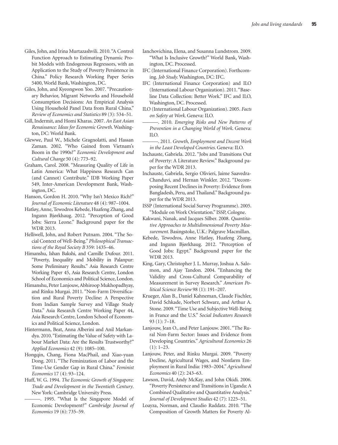- Giles, John, and Irina Murtazashvili. 2010. "A Control Function Approach to Estimating Dynamic Probit Models with Endogenous Regressors, with an Application to the Study of Poverty Persistence in China." Policy Research Working Paper Series 5400, World Bank, Washington, DC.
- Giles, John, and Kyeongwon Yoo. 2007. "Precautionary Behavior, Migrant Networks and Household Consumption Decisions: An Empirical Analysis Using Household Panel Data from Rural China." *Review of Economics and Statistics* 89 (3): 534–51.
- Gill, Indermit, and Homi Kharas. 2007. *An East Asian Renaissance: Ideas for Economic Growth*. Washington, DC: World Bank.
- Glewwe, Paul W., Michele Gragnolatti, and Hassan Zaman. 2002. "Who Gained from Vietnam's Boom in the 1990s?" *Economic Development and Cultural Change* 50 (4): 773–92.
- Graham, Carol. 2008. "Measuring Quality of Life in Latin America: What Happiness Research Can (and Cannot) Contribute." IDB Working Paper 549, Inter-American Development Bank, Washington, DC.
- Hanson, Gordon H. 2010. "Why Isn't Mexico Rich?" *Journal of Economic Literature* 48 (4): 987–1004.
- Hatløy, Anne, Tewodros Kebede, Huafeng Zhang, and Ingunn Bjørkhaug. 2012. "Perception of Good Jobs: Sierra Leone." Background paper for the WDR 2013.
- Helliwell, John, and Robert Putnam. 2004. "The Social Context of Well-Being." *Philosophical Transactions of the Royal Society B* 359: 1435–46.
- Himanshu, Ishan Bakshi, and Camille Dufour. 2011. "Poverty, Inequality and Mobility in Palanpur: Some Preliminary Results." Asia Research Centre Working Paper 45, Asia Research Centre, London School of Economics and Political Science, London.
- Himanshu, Peter Lanjouw, Abhiroop Mukhopadhyay, and Rinku Murgai. 2011. "Non-Farm Diversification and Rural Poverty Decline: A Perspective from Indian Sample Survey and Village Study Data." Asia Research Centre Working Paper 44, Asia Research Centre, London School of Economics and Political Science, London.
- Hintermann, Beat, Anna Alberini and Anil Markandya. 2010. "Estimating the Value of Safety with Labour Market Data: Are the Results Trustworthy?" *Applied Economics* 42 (9): 1085–100.
- Hongqin, Chang, Fiona MacPhail, and Xiao-yuan Dong. 2011. "The Feminization of Labor and the Time-Use Gender Gap in Rural China." *Feminist Economics* 17 (4): 93–124.
- Huff, W. G. 1994. *The Economic Growth of Singapore: Trade and Development in the Twentieth Century*. New York: Cambridge University Press.
	- ———. 1995. "What Is the Singapore Model of Economic Development?" *Cambridge Journal of Economics* 19 (6): 735–59.
- Ianchovichina, Elena, and Susanna Lundstrom. 2009. "What Is Inclusive Growth?" World Bank, Washington, DC. Processed.
- IFC (International Finance Corporation). Forthcoming. *Job Study.* Washington, DC: IFC.
- IFC (International Finance Corporation) and ILO (International Labour Organization). 2011. "Baseline Data Collection: Better Work." IFC and ILO, Washington, DC. Processed.
- ILO (International Labour Organization). 2005. *Facts on Safety at Work*. Geneva: ILO.
	- ———. 2010. *Emerging Risks and New Patterns of Prevention in a Changing World of Work*. Geneva: ILO.
- ———. 2011. *Growth, Employment and Decent Work in the Least Developed Countries*. Geneva: ILO.
- Inchauste, Gabriela. 2012. "Jobs and Transitions Out of Poverty: A Literature Review." Background paper for the WDR 2013.
- Inchauste, Gabriela, Sergio Olivieri, Jaime Saavedra-Chanduvi, and Hernan Winkler. 2012. "Decomposing Recent Declines in Poverty: Evidence from Bangladesh, Peru, and Thailand." Background paper for the WDR 2013.
- ISSP (International Social Survey Programme). 2005. "Module on Work Orientation." ISSP, Cologne.
- Kakwani, Nanak, and Jacques Silber. 2008. *Quantitative Approaches to Multidimensional Poverty Measurement*. Basingstoke, U.K.: Palgrave Macmillan.
- Kebede, Tewodros, Anne Hatløy, Huafeng Zhang, and Ingunn Bjørkhaug. 2012. "Perception of Good Jobs: Egypt." Background paper for the WDR 2013.
- King, Gary, Christopher J. L. Murray, Joshua A. Salomon, and Ajay Tandon. 2004. "Enhancing the Validity and Cross-Cultural Comparability of Measurement in Survey Research." *American Political Science Review* 98 (1): 191–207.
- Krueger, Alan B., Daniel Kahneman, Claude Fischler, David Schkade, Norbert Schwarz, and Arthur A. Stone. 2009. "Time Use and Subjective Well-Being in France and the U.S." *Social Indicators Research* 93 (1): 7–18.
- Lanjouw, Jean O., and Peter Lanjouw. 2001. "The Rural Non-Farm Sector: Issues and Evidence from Developing Countries." *Agricultural Economics* 26  $(1): 1-23.$
- Lanjouw, Peter, and Rinku Murgai. 2009. "Poverty Decline, Agricultural Wages, and Nonfarm Employment in Rural India: 1983–2004." *Agricultural Economics* 40 (2): 243–63.
- Lawson, David, Andy McKay, and John Okidi. 2006. "Poverty Persistence and Transitions in Uganda: A Combined Qualitative and Quantitative Analysis." *Journal of Development Studies* 42 (7): 1225–51.
- Loayza, Norman, and Claudio Raddatz. 2010. "The Composition of Growth Matters for Poverty Al-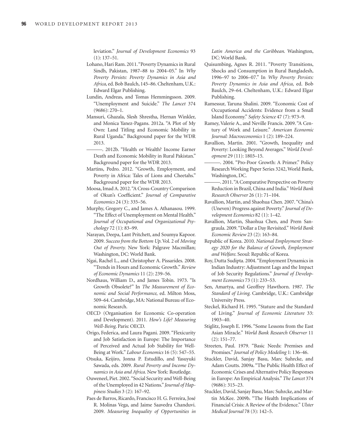leviation." *Journal of Development Economics* 93  $(1): 137 - 51.$ 

- Lohano, Hari Ram. 2011. "Poverty Dynamics in Rural Sindh, Pakistan, 1987–88 to 2004–05." In *Why Poverty Persists: Poverty Dynamics in Asia and Africa*, ed. Bob Baulch, 145–86. Cheltenham, U.K.: Edward Elgar Publishing.
- Lundin, Andreas, and Tomas Hemmingsson. 2009. "Unemployment and Suicide." *The Lancet* 374 (9686): 270–1.
- Mansuri, Ghazala, Slesh Shrestha, Hernan Winkler, and Monica Yanez-Pagans. 2012a. "A Plot of My Own: Land Titling and Economic Mobility in Rural Uganda." Background paper for the WDR 2013.
	- ———. 2012b. "Health or Wealth? Income Earner Death and Economic Mobility in Rural Pakistan." Background paper for the WDR 2013.
- Martins, Pedro. 2012. "Growth, Employment, and Poverty in Africa: Tales of Lions and Cheetahs." Background paper for the WDR 2013.
- Moosa, Imad A. 2012. "A Cross-Country Comparison of Okun's Coefficient." *Journal of Comparative Economics* 24 (3): 335–56.
- Murphy, Gregory C., and James A. Athanasou. 1999. "The Effect of Unemployment on Mental Health." *Journal of Occupational and Organizational Psychology* 72 (1): 83–99.
- Narayan, Deepa, Lant Pritchett, and Soumya Kapoor. 2009. *Success from the Bottom Up*. Vol. 2 of *Moving Out of Poverty.* New York: Palgrave Macmillan; Washington, DC: World Bank.
- Ngai, Rachel L., and Christopher A. Pissarides. 2008. "Trends in Hours and Economic Growth." *Review of Economic Dynamics* 11 (2): 239–56.
- Nordhaus, William D., and James Tobin. 1973. "Is Growth Obsolete?" In *The Measurement of Economic and Social Performance*, ed. Milton Moss, 509–64. Cambridge, MA: National Bureau of Economic Research.
- OECD (Organisation for Economic Co-operation and Development). 2011. *How's Life? Measuring Well-Being*. Paris: OECD.
- Origo, Federica, and Laura Pagani. 2009. "Flexicurity and Job Satisfaction in Europe: The Importance of Perceived and Actual Job Stability for Well-Being at Work." *Labour Economics* 16 (5): 547–55.
- Otsuka, Keijiro, Jonna P. Estudillo, and Yasuyuki Sawada, eds. 2009. *Rural Poverty and Income Dynamics in Asia and Africa.* New York: Routledge.
- Ouweneel, Piet. 2002. "Social Security and Well-Being of the Unemployed in 42 Nations." *Journal of Happiness Studies* 3 (2): 167–92.
- Paes de Barros, Ricardo, Francisco H. G. Ferreira, José R. Molinas Vega, and Jaime Saavedra Chanduvi. 2009. *Measuring Inequality of Opportunities in*

*Latin America and the Caribbean*. Washington, DC: World Bank.

- Quisumbing, Agnes R. 2011. "Poverty Transitions, Shocks and Consumption in Rural Bangladesh, 1996–97 to 2006–07." In *Why Poverty Persists: Poverty Dynamics in Asia and Africa*, ed. Bob Baulch, 29–64. Cheltenham, U.K.: Edward Elgar Publishing.
- Ramessur, Taruna Shalini. 2009. "Economic Cost of Occupational Accidents: Evidence from a Small Island Economy." *Safety Science* 47 (7): 973–9.
- Ramey, Valerie A., and Neville Francis. 2009. "A Century of Work and Leisure." *American Economic Journal: Macroeconomics* 1 (2): 189–224.
- Ravallion, Martin. 2001. "Growth, Inequality and Poverty: Looking Beyond Averages." *World Development* 29 (11): 1803–15.
- ———. 2004. "Pro-Poor Growth: A Primer." Policy Research Working Paper Series 3242, World Bank, Washington, DC.
- -. 2011. "A Comparative Perspective on Poverty Reduction in Brazil, China and India." *World Bank Research Observer* 26 (1): 71–104.
- Ravallion, Martin, and Shaohua Chen. 2007. "China's (Uneven) Progress against Poverty." *Journal of Development Economics* 82 (1): 1–42.
- Ravallion, Martin, Shaohua Chen, and Prem Sangraula. 2009. "Dollar a Day Revisited." *World Bank Economic Review* 23 (2): 163–84.
- Republic of Korea. 2010. *National Employment Strategy 2020 for the Balance of Growth, Employment and Welfare*. Seoul: Republic of Korea.
- Roy, Dutta Sudipta. 2004. "Employment Dynamics in Indian Industry: Adjustment Lags and the Impact of Job Security Regulations." *Journal of Development Economics* 73 (1): 233–53.
- Sen, Amartya, and Geoffrey Hawthorn. 1987. *The Standard of Living*. Cambridge, U.K.: Cambridge University Press.
- Steckel, Richard H. 1995. "Stature and the Standard of Living." *Journal of Economic Literature* 33: 1903–40.
- Stiglitz, Joseph E. 1996. "Some Lessons from the East Asian Miracle." *World Bank Research Observer* 11 (2): 151–77.
- Streeten, Paul. 1979. "Basic Needs: Premises and Promises." *Journal of Policy Modeling* 1: 136–46.
- Stuckler, David, Sanjay Basu, Marc Suhrcke, and Adam Coutts. 2009a. "The Public Health Effect of Economic Crises and Alternative Policy Responses in Europe: An Empirical Analysis." *The Lancet* 374 (9686): 315–23.
- Stuckler, David, Sanjay Basu, Marc Suhrcke, and Martin McKee. 2009b. "The Health Implications of Financial Crisis: A Review of the Evidence." *Ulster Medical Journal* 78 (3): 142–5.